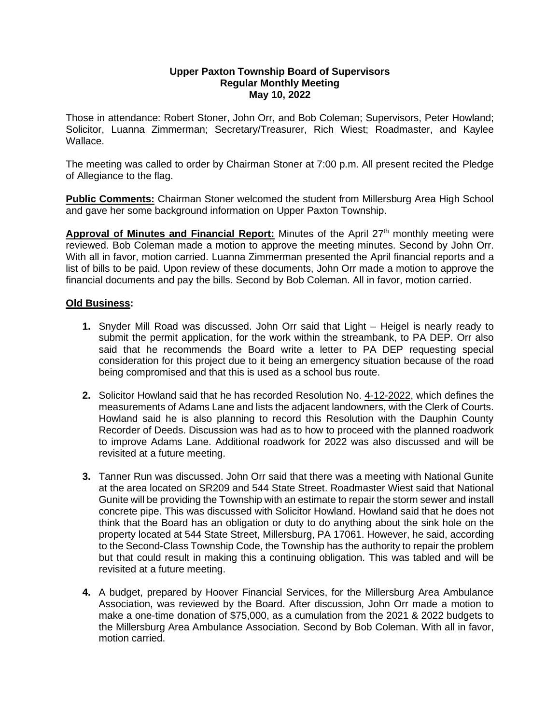## **Upper Paxton Township Board of Supervisors Regular Monthly Meeting May 10, 2022**

Those in attendance: Robert Stoner, John Orr, and Bob Coleman; Supervisors, Peter Howland; Solicitor, Luanna Zimmerman; Secretary/Treasurer, Rich Wiest; Roadmaster, and Kaylee Wallace.

The meeting was called to order by Chairman Stoner at 7:00 p.m. All present recited the Pledge of Allegiance to the flag.

**Public Comments:** Chairman Stoner welcomed the student from Millersburg Area High School and gave her some background information on Upper Paxton Township.

Approval of Minutes and Financial Report: Minutes of the April 27<sup>th</sup> monthly meeting were reviewed. Bob Coleman made a motion to approve the meeting minutes. Second by John Orr. With all in favor, motion carried. Luanna Zimmerman presented the April financial reports and a list of bills to be paid. Upon review of these documents, John Orr made a motion to approve the financial documents and pay the bills. Second by Bob Coleman. All in favor, motion carried.

## **Old Business:**

- **1.** Snyder Mill Road was discussed. John Orr said that Light Heigel is nearly ready to submit the permit application, for the work within the streambank, to PA DEP. Orr also said that he recommends the Board write a letter to PA DEP requesting special consideration for this project due to it being an emergency situation because of the road being compromised and that this is used as a school bus route.
- **2.** Solicitor Howland said that he has recorded Resolution No. 4-12-2022, which defines the measurements of Adams Lane and lists the adjacent landowners, with the Clerk of Courts. Howland said he is also planning to record this Resolution with the Dauphin County Recorder of Deeds. Discussion was had as to how to proceed with the planned roadwork to improve Adams Lane. Additional roadwork for 2022 was also discussed and will be revisited at a future meeting.
- **3.** Tanner Run was discussed. John Orr said that there was a meeting with National Gunite at the area located on SR209 and 544 State Street. Roadmaster Wiest said that National Gunite will be providing the Township with an estimate to repair the storm sewer and install concrete pipe. This was discussed with Solicitor Howland. Howland said that he does not think that the Board has an obligation or duty to do anything about the sink hole on the property located at 544 State Street, Millersburg, PA 17061. However, he said, according to the Second-Class Township Code, the Township has the authority to repair the problem but that could result in making this a continuing obligation. This was tabled and will be revisited at a future meeting.
- **4.** A budget, prepared by Hoover Financial Services, for the Millersburg Area Ambulance Association, was reviewed by the Board. After discussion, John Orr made a motion to make a one-time donation of \$75,000, as a cumulation from the 2021 & 2022 budgets to the Millersburg Area Ambulance Association. Second by Bob Coleman. With all in favor, motion carried.